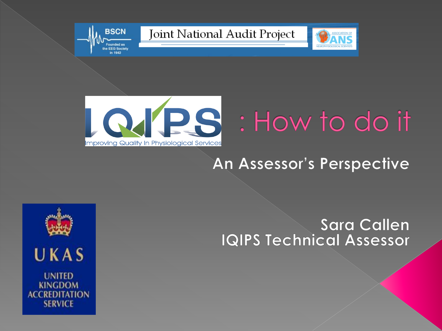





**BSCN** 

ounded as the EEG Society in 1942

# LOJPS : How to do it

#### An Assessor's Perspective

#### **Sara Callen IQIPS Technical Assessor**

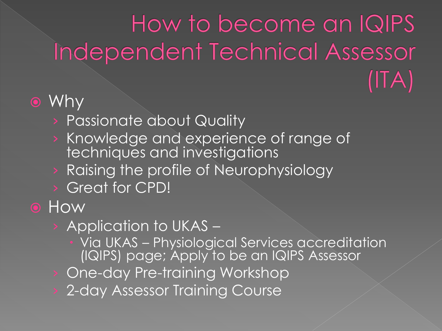### How to become an IQIPS Independent Technical Assessor  $($ ITA)

#### Why

- › Passionate about Quality
- › Knowledge and experience of range of techniques and investigations
- › Raising the profile of Neurophysiology
- › Great for CPD!

#### **O** How

- › Application to UKAS
	- Via UKAS Physiological Services accreditation (IQIPS) page; Apply to be an IQIPS Assessor
- One-day Pre-training Workshop
- 2-day Assessor Training Course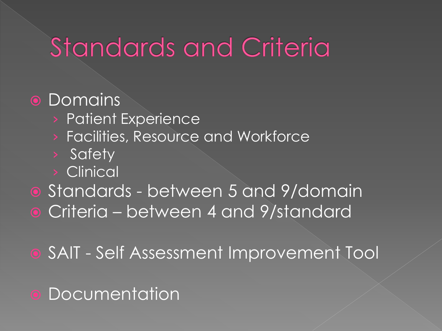# **Standards and Criteria**

#### **•** Domains

- › Patient Experience
- › Facilities, Resource and Workforce
- › Safety
- › Clinical
- Standards between 5 and 9/domain Criteria – between 4 and 9/standard

SAIT - Self Assessment Improvement Tool

**• Documentation**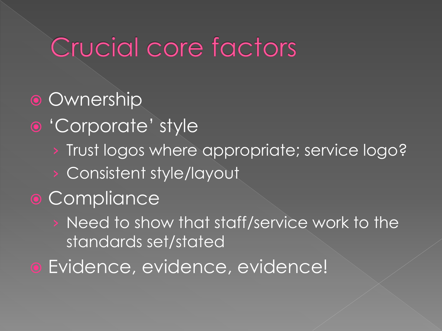## Crucial core factors

### **• Ownership**

- 'Corporate' style
	- › Trust logos where appropriate; service logo?
	- › Consistent style/layout

### **• Compliance**

- Need to show that staff/service work to the standards set/stated
- Evidence, evidence, evidence!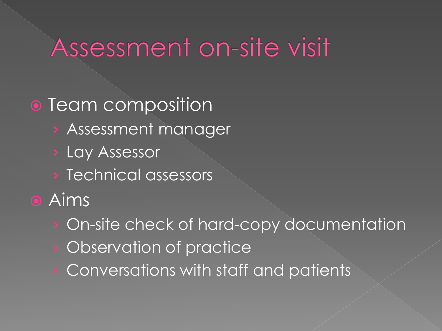### Assessment on-site visit

### • Team composition

- › Assessment manager
- › Lay Assessor
- › Technical assessors
- **•** Aims
	- On-site check of hard-copy documentation
	- Observation of practice
	- Conversations with staff and patients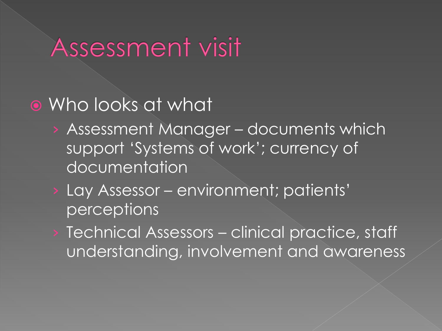### Assessment visit

### Who looks at what

- › Assessment Manager documents which support 'Systems of work'; currency of documentation
- › Lay Assessor environment; patients' **perceptions**
- › Technical Assessors clinical practice, staff understanding, involvement and awareness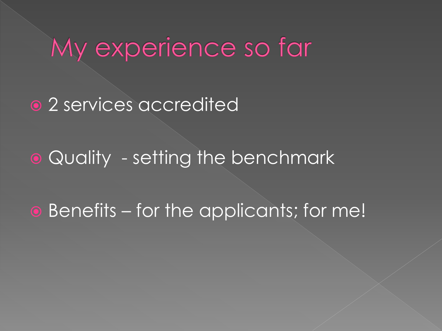## My experience so far

#### • 2 services accredited

Quality - setting the benchmark

Benefits – for the applicants; for me!